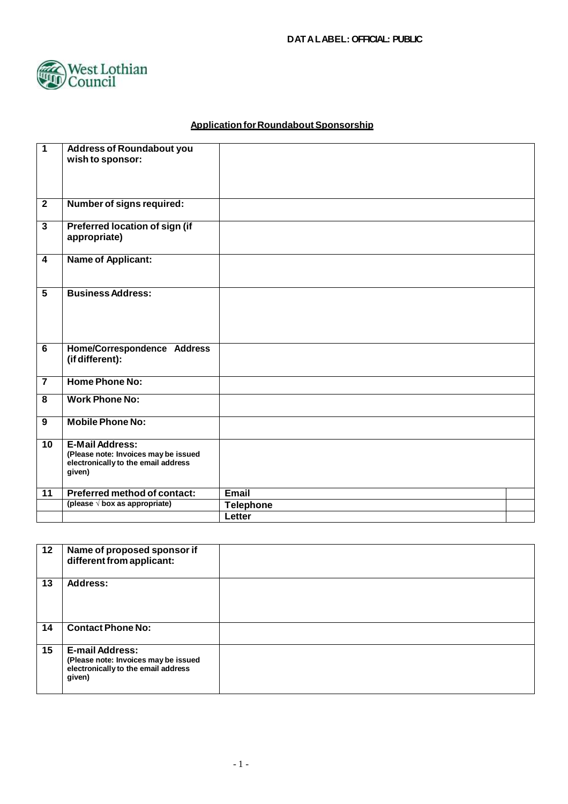

# **Application for Roundabout Sponsorship**

| $\overline{1}$          | <b>Address of Roundabout you</b>              |                  |  |
|-------------------------|-----------------------------------------------|------------------|--|
|                         | wish to sponsor:                              |                  |  |
|                         |                                               |                  |  |
|                         |                                               |                  |  |
|                         |                                               |                  |  |
| $\overline{2}$          | Number of signs required:                     |                  |  |
| 3                       | Preferred location of sign (if                |                  |  |
|                         | appropriate)                                  |                  |  |
|                         |                                               |                  |  |
| 4                       | <b>Name of Applicant:</b>                     |                  |  |
|                         |                                               |                  |  |
|                         |                                               |                  |  |
| $\overline{\mathbf{5}}$ | <b>Business Address:</b>                      |                  |  |
|                         |                                               |                  |  |
|                         |                                               |                  |  |
|                         |                                               |                  |  |
| $\overline{6}$          | Home/Correspondence Address                   |                  |  |
|                         | (if different):                               |                  |  |
|                         |                                               |                  |  |
| $\overline{7}$          | <b>Home Phone No:</b>                         |                  |  |
| 8                       | <b>Work Phone No:</b>                         |                  |  |
|                         |                                               |                  |  |
| 9                       | <b>Mobile Phone No:</b>                       |                  |  |
|                         |                                               |                  |  |
| $\overline{10}$         | <b>E-Mail Address:</b>                        |                  |  |
|                         | (Please note: Invoices may be issued          |                  |  |
|                         | electronically to the email address<br>given) |                  |  |
|                         |                                               |                  |  |
| 11                      | Preferred method of contact:                  | Email            |  |
|                         | (please $\sqrt{$ box as appropriate)          | <b>Telephone</b> |  |
|                         |                                               | Letter           |  |

| 12 | Name of proposed sponsor if<br>different from applicant:                                                        |  |
|----|-----------------------------------------------------------------------------------------------------------------|--|
| 13 | Address:                                                                                                        |  |
| 14 | <b>Contact Phone No:</b>                                                                                        |  |
| 15 | <b>E-mail Address:</b><br>(Please note: Invoices may be issued<br>electronically to the email address<br>given) |  |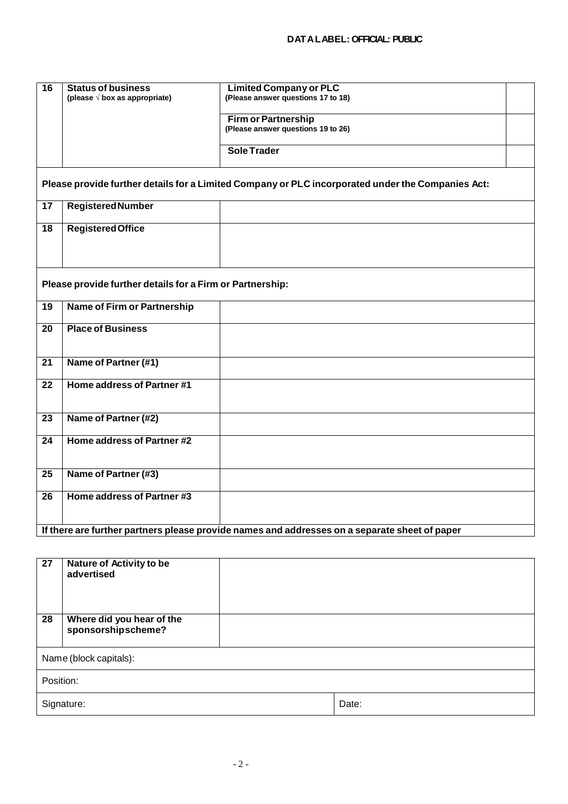| $\overline{16}$                                                                                   | <b>Status of business</b>                                                                     | <b>Limited Company or PLC</b>                                    |  |  |
|---------------------------------------------------------------------------------------------------|-----------------------------------------------------------------------------------------------|------------------------------------------------------------------|--|--|
|                                                                                                   | (please $\sqrt{}$ box as appropriate)                                                         | (Please answer questions 17 to 18)                               |  |  |
|                                                                                                   |                                                                                               | <b>Firm or Partnership</b><br>(Please answer questions 19 to 26) |  |  |
|                                                                                                   |                                                                                               | <b>Sole Trader</b>                                               |  |  |
| Please provide further details for a Limited Company or PLC incorporated under the Companies Act: |                                                                                               |                                                                  |  |  |
| $\overline{17}$                                                                                   | <b>Registered Number</b>                                                                      |                                                                  |  |  |
| $\overline{18}$                                                                                   | <b>Registered Office</b>                                                                      |                                                                  |  |  |
| Please provide further details for a Firm or Partnership:                                         |                                                                                               |                                                                  |  |  |
| 19                                                                                                | Name of Firm or Partnership                                                                   |                                                                  |  |  |
| $\overline{20}$                                                                                   | <b>Place of Business</b>                                                                      |                                                                  |  |  |
| 21                                                                                                | Name of Partner (#1)                                                                          |                                                                  |  |  |
| $\overline{22}$                                                                                   | Home address of Partner #1                                                                    |                                                                  |  |  |
| 23                                                                                                | Name of Partner (#2)                                                                          |                                                                  |  |  |
| 24                                                                                                | Home address of Partner #2                                                                    |                                                                  |  |  |
| $\overline{25}$                                                                                   | Name of Partner (#3)                                                                          |                                                                  |  |  |
| 26                                                                                                | Home address of Partner #3                                                                    |                                                                  |  |  |
|                                                                                                   | If there are further partners please provide names and addresses on a separate sheet of paper |                                                                  |  |  |

| Nature of Activity to be<br>advertised          |  |       |
|-------------------------------------------------|--|-------|
| Where did you hear of the<br>sponsorshipscheme? |  |       |
| Name (block capitals):                          |  |       |
| Position:                                       |  |       |
| Signature:                                      |  | Date: |
|                                                 |  |       |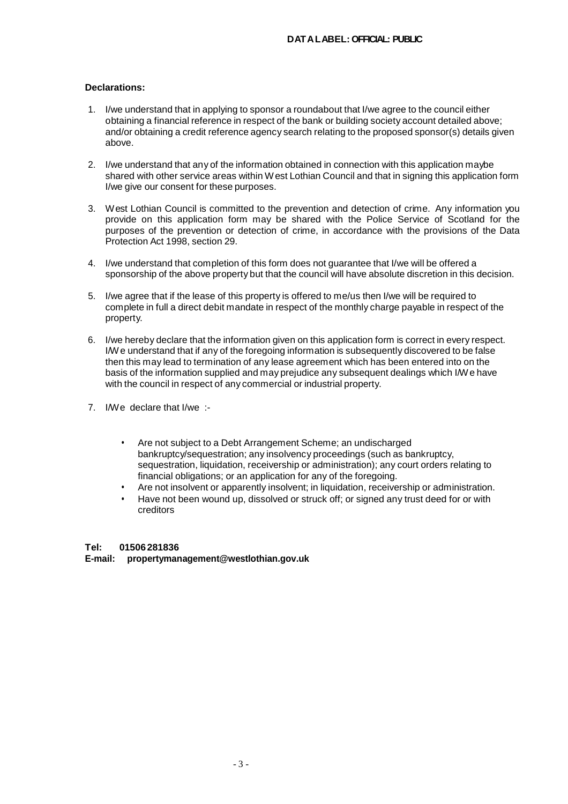## **Declarations:**

- 1. I/we understand that in applying to sponsor a roundabout that I/we agree to the council either obtaining a financial reference in respect of the bank or building society account detailed above; and/or obtaining a credit reference agency search relating to the proposed sponsor(s) details given above.
- 2. I/we understand that any of the information obtained in connection with this application maybe shared with other service areas within W est Lothian Council and that in signing this application form I/we give our consent for these purposes.
- 3. West Lothian Council is committed to the prevention and detection of crime. Any information you provide on this application form may be shared with the Police Service of Scotland for the purposes of the prevention or detection of crime, in accordance with the provisions of the Data Protection Act 1998, section 29.
- 4. I/we understand that completion of this form does not guarantee that I/we will be offered a sponsorship of the above property but that the council will have absolute discretion in this decision.
- 5. I/we agree that if the lease of this property is offered to me/us then I/we will be required to complete in full a direct debit mandate in respect of the monthly charge payable in respect of the property.
- 6. I/we hereby declare that the information given on this application form is correct in every respect. I/We understand that if any of the foregoing information is subsequently discovered to be false then this may lead to termination of any lease agreement which has been entered into on the basis of the information supplied and may prejudice any subsequent dealings which I/We have with the council in respect of any commercial or industrial property.
- 7. I/We declare that I/we :-
	- Are not subject to a Debt Arrangement Scheme; an undischarged bankruptcy/sequestration; any insolvency proceedings (such as bankruptcy, sequestration, liquidation, receivership or administration); any court orders relating to financial obligations; or an application for any of the foregoing.
	- Are not insolvent or apparently insolvent; in liquidation, receivership or administration.
	- Have not been wound up, dissolved or struck off; or signed any trust deed for or with creditors

## **Tel: 01506 281836 E-mail: propertymanagement@westlothian.gov.uk**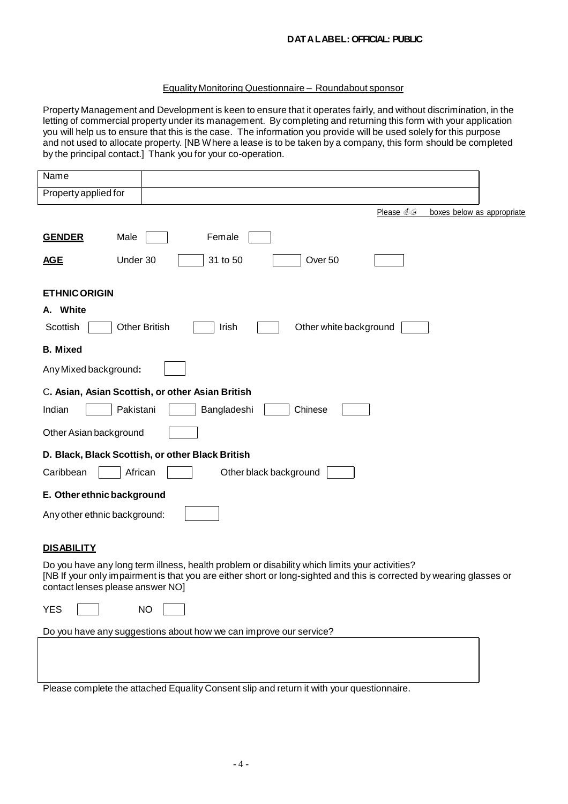## **DATALABEL: OFFICIAL: PUBLIC**

#### Equality Monitoring Questionnaire – Roundabout sponsor

Property Management and Development is keen to ensure that it operates fairly, and without discrimination, in the letting of commercial property under its management. By completing and returning this form with your application you will help us to ensure that this is the case. The information you provide will be used solely for this purpose and not used to allocate property. [NB W here a lease is to be taken by a company, this form should be completed by the principal contact.] Thank you for your co-operation.

| Name                                                                                                                                                                                                                                                      |                            |
|-----------------------------------------------------------------------------------------------------------------------------------------------------------------------------------------------------------------------------------------------------------|----------------------------|
| Property applied for                                                                                                                                                                                                                                      |                            |
| Please @                                                                                                                                                                                                                                                  | boxes below as appropriate |
| Female<br><b>GENDER</b><br>Male<br>Under 30<br>31 to 50<br>Over 50<br><b>AGE</b>                                                                                                                                                                          |                            |
|                                                                                                                                                                                                                                                           |                            |
| <b>ETHNIC ORIGIN</b>                                                                                                                                                                                                                                      |                            |
| A. White                                                                                                                                                                                                                                                  |                            |
| <b>Other British</b><br>Other white background<br>Scottish<br>Irish                                                                                                                                                                                       |                            |
| <b>B.</b> Mixed                                                                                                                                                                                                                                           |                            |
| Any Mixed background:                                                                                                                                                                                                                                     |                            |
| C. Asian, Asian Scottish, or other Asian British                                                                                                                                                                                                          |                            |
| Indian<br>Pakistani<br>Bangladeshi<br>Chinese                                                                                                                                                                                                             |                            |
| Other Asian background                                                                                                                                                                                                                                    |                            |
| D. Black, Black Scottish, or other Black British                                                                                                                                                                                                          |                            |
| Caribbean<br>African<br>Other black background                                                                                                                                                                                                            |                            |
| E. Other ethnic background                                                                                                                                                                                                                                |                            |
| Any other ethnic background:                                                                                                                                                                                                                              |                            |
|                                                                                                                                                                                                                                                           |                            |
| <b>DISABILITY</b>                                                                                                                                                                                                                                         |                            |
| Do you have any long term illness, health problem or disability which limits your activities?<br>[NB If your only impairment is that you are either short or long-sighted and this is corrected by wearing glasses or<br>contact lenses please answer NO] |                            |
| <b>YES</b><br><b>NO</b>                                                                                                                                                                                                                                   |                            |
| Do you have any suggestions about how we can improve our service?                                                                                                                                                                                         |                            |
|                                                                                                                                                                                                                                                           |                            |
|                                                                                                                                                                                                                                                           |                            |
| Please complete the attached Equality Consent slip and return it with your questionnaire.                                                                                                                                                                 |                            |